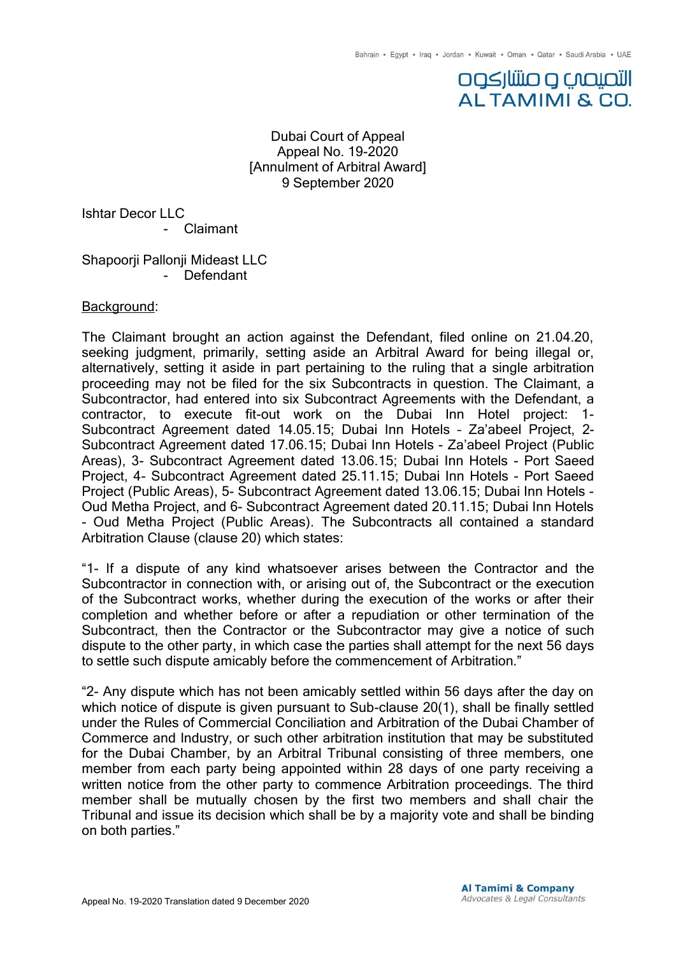### **DOSJUJIO O CAQUOJI ALTAMIMI & CO.**

### Dubai Court of Appeal Appeal No. 19-2020 [Annulment of Arbitral Award] 9 September 2020

Ishtar Decor LLC

- Claimant

Shapoorji Pallonji Mideast LLC - Defendant

### Background:

The Claimant brought an action against the Defendant, filed online on 21.04.20, seeking judgment, primarily, setting aside an Arbitral Award for being illegal or, alternatively, setting it aside in part pertaining to the ruling that a single arbitration proceeding may not be filed for the six Subcontracts in question. The Claimant, a Subcontractor, had entered into six Subcontract Agreements with the Defendant, a contractor, to execute fit-out work on the Dubai Inn Hotel project: 1- Subcontract Agreement dated 14.05.15; Dubai Inn Hotels – Za'abeel Project, 2- Subcontract Agreement dated 17.06.15; Dubai Inn Hotels - Za'abeel Project (Public Areas), 3- Subcontract Agreement dated 13.06.15; Dubai Inn Hotels - Port Saeed Project, 4- Subcontract Agreement dated 25.11.15; Dubai Inn Hotels - Port Saeed Project (Public Areas), 5- Subcontract Agreement dated 13.06.15; Dubai Inn Hotels - Oud Metha Project, and 6- Subcontract Agreement dated 20.11.15; Dubai Inn Hotels - Oud Metha Project (Public Areas). The Subcontracts all contained a standard Arbitration Clause (clause 20) which states:

"1- If a dispute of any kind whatsoever arises between the Contractor and the Subcontractor in connection with, or arising out of, the Subcontract or the execution of the Subcontract works, whether during the execution of the works or after their completion and whether before or after a repudiation or other termination of the Subcontract, then the Contractor or the Subcontractor may give a notice of such dispute to the other party, in which case the parties shall attempt for the next 56 days to settle such dispute amicably before the commencement of Arbitration."

"2- Any dispute which has not been amicably settled within 56 days after the day on which notice of dispute is given pursuant to Sub-clause 20(1), shall be finally settled under the Rules of Commercial Conciliation and Arbitration of the Dubai Chamber of Commerce and Industry, or such other arbitration institution that may be substituted for the Dubai Chamber, by an Arbitral Tribunal consisting of three members, one member from each party being appointed within 28 days of one party receiving a written notice from the other party to commence Arbitration proceedings. The third member shall be mutually chosen by the first two members and shall chair the Tribunal and issue its decision which shall be by a majority vote and shall be binding on both parties."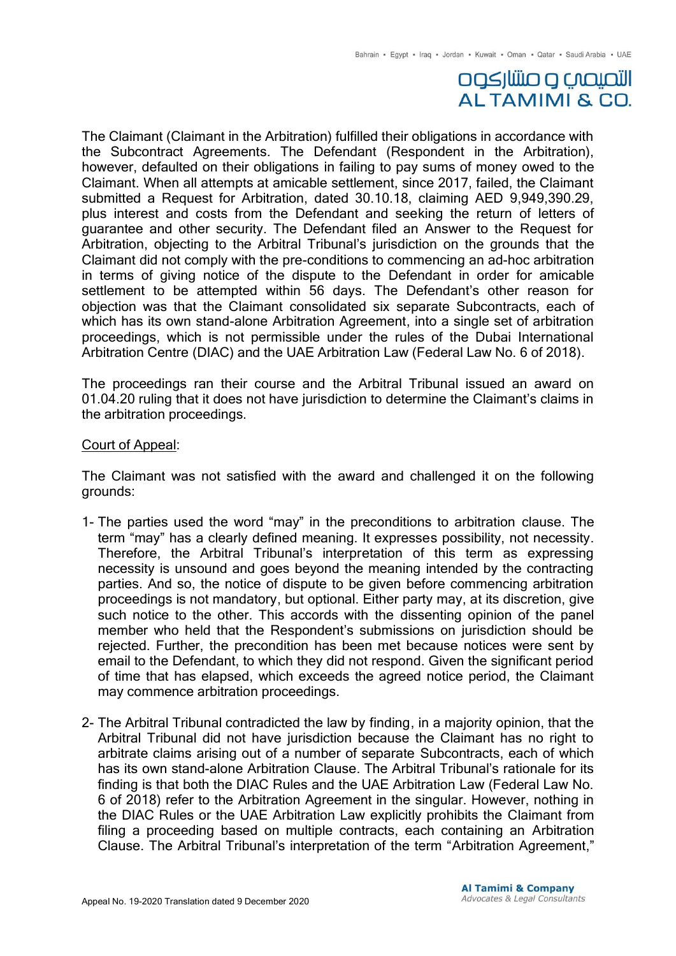## التصيصب و صنتار كوه **ALTAMIMI & CO.**

The Claimant (Claimant in the Arbitration) fulfilled their obligations in accordance with the Subcontract Agreements. The Defendant (Respondent in the Arbitration), however, defaulted on their obligations in failing to pay sums of money owed to the Claimant. When all attempts at amicable settlement, since 2017, failed, the Claimant submitted a Request for Arbitration, dated 30.10.18, claiming AED 9,949,390.29, plus interest and costs from the Defendant and seeking the return of letters of guarantee and other security. The Defendant filed an Answer to the Request for Arbitration, objecting to the Arbitral Tribunal's jurisdiction on the grounds that the Claimant did not comply with the pre-conditions to commencing an ad-hoc arbitration in terms of giving notice of the dispute to the Defendant in order for amicable settlement to be attempted within 56 days. The Defendant's other reason for objection was that the Claimant consolidated six separate Subcontracts, each of which has its own stand-alone Arbitration Agreement, into a single set of arbitration proceedings, which is not permissible under the rules of the Dubai International Arbitration Centre (DIAC) and the UAE Arbitration Law (Federal Law No. 6 of 2018).

The proceedings ran their course and the Arbitral Tribunal issued an award on 01.04.20 ruling that it does not have jurisdiction to determine the Claimant's claims in the arbitration proceedings.

#### Court of Appeal:

The Claimant was not satisfied with the award and challenged it on the following grounds:

- 1- The parties used the word "may" in the preconditions to arbitration clause. The term "may" has a clearly defined meaning. It expresses possibility, not necessity. Therefore, the Arbitral Tribunal's interpretation of this term as expressing necessity is unsound and goes beyond the meaning intended by the contracting parties. And so, the notice of dispute to be given before commencing arbitration proceedings is not mandatory, but optional. Either party may, at its discretion, give such notice to the other. This accords with the dissenting opinion of the panel member who held that the Respondent's submissions on jurisdiction should be rejected. Further, the precondition has been met because notices were sent by email to the Defendant, to which they did not respond. Given the significant period of time that has elapsed, which exceeds the agreed notice period, the Claimant may commence arbitration proceedings.
- 2- The Arbitral Tribunal contradicted the law by finding, in a majority opinion, that the Arbitral Tribunal did not have jurisdiction because the Claimant has no right to arbitrate claims arising out of a number of separate Subcontracts, each of which has its own stand-alone Arbitration Clause. The Arbitral Tribunal's rationale for its finding is that both the DIAC Rules and the UAE Arbitration Law (Federal Law No. 6 of 2018) refer to the Arbitration Agreement in the singular. However, nothing in the DIAC Rules or the UAE Arbitration Law explicitly prohibits the Claimant from filing a proceeding based on multiple contracts, each containing an Arbitration Clause. The Arbitral Tribunal's interpretation of the term "Arbitration Agreement,"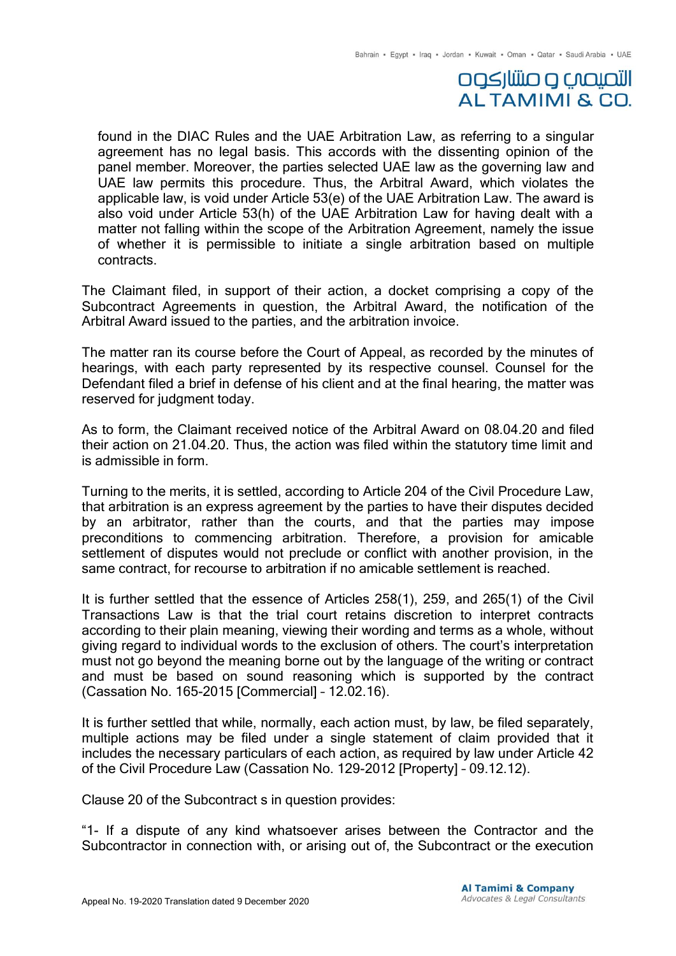# التصيصب و صنتار كوه **ALTAMIMI & CO.**

found in the DIAC Rules and the UAE Arbitration Law, as referring to a singular agreement has no legal basis. This accords with the dissenting opinion of the panel member. Moreover, the parties selected UAE law as the governing law and UAE law permits this procedure. Thus, the Arbitral Award, which violates the applicable law, is void under Article 53(e) of the UAE Arbitration Law. The award is also void under Article 53(h) of the UAE Arbitration Law for having dealt with a matter not falling within the scope of the Arbitration Agreement, namely the issue of whether it is permissible to initiate a single arbitration based on multiple contracts.

The Claimant filed, in support of their action, a docket comprising a copy of the Subcontract Agreements in question, the Arbitral Award, the notification of the Arbitral Award issued to the parties, and the arbitration invoice.

The matter ran its course before the Court of Appeal, as recorded by the minutes of hearings, with each party represented by its respective counsel. Counsel for the Defendant filed a brief in defense of his client and at the final hearing, the matter was reserved for judgment today.

As to form, the Claimant received notice of the Arbitral Award on 08.04.20 and filed their action on 21.04.20. Thus, the action was filed within the statutory time limit and is admissible in form.

Turning to the merits, it is settled, according to Article 204 of the Civil Procedure Law, that arbitration is an express agreement by the parties to have their disputes decided by an arbitrator, rather than the courts, and that the parties may impose preconditions to commencing arbitration. Therefore, a provision for amicable settlement of disputes would not preclude or conflict with another provision, in the same contract, for recourse to arbitration if no amicable settlement is reached.

It is further settled that the essence of Articles 258(1), 259, and 265(1) of the Civil Transactions Law is that the trial court retains discretion to interpret contracts according to their plain meaning, viewing their wording and terms as a whole, without giving regard to individual words to the exclusion of others. The court's interpretation must not go beyond the meaning borne out by the language of the writing or contract and must be based on sound reasoning which is supported by the contract (Cassation No. 165-2015 [Commercial] – 12.02.16).

It is further settled that while, normally, each action must, by law, be filed separately, multiple actions may be filed under a single statement of claim provided that it includes the necessary particulars of each action, as required by law under Article 42 of the Civil Procedure Law (Cassation No. 129-2012 [Property] – 09.12.12).

Clause 20 of the Subcontract s in question provides:

"1- If a dispute of any kind whatsoever arises between the Contractor and the Subcontractor in connection with, or arising out of, the Subcontract or the execution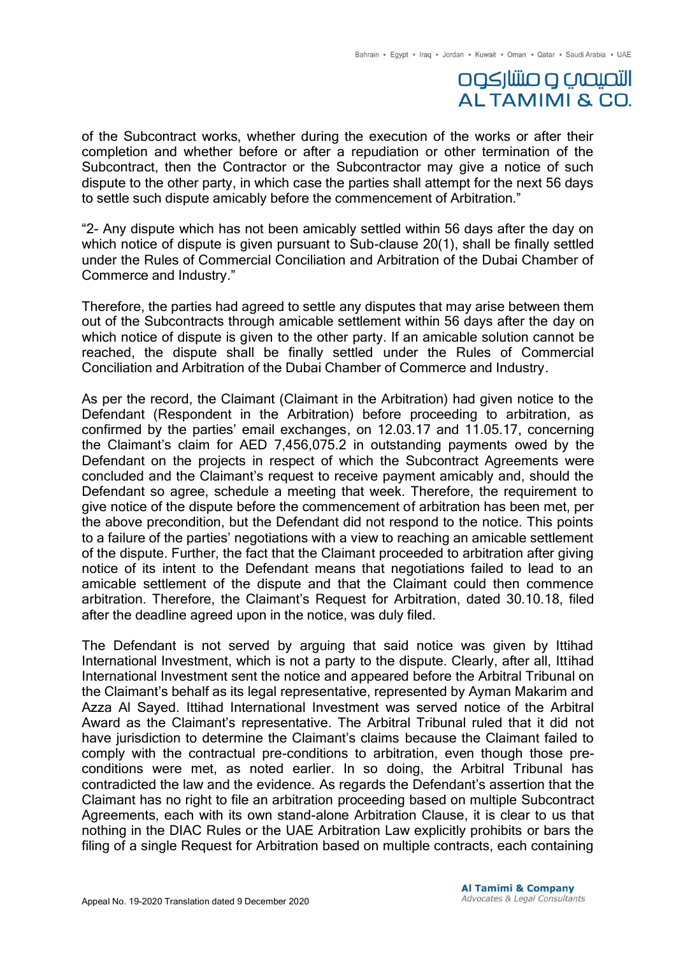## التصيصب و صنتار كوه **ALTAMIMI & CO.**

of the Subcontract works, whether during the execution of the works or after their completion and whether before or after a repudiation or other termination of the Subcontract, then the Contractor or the Subcontractor may give a notice of such dispute to the other party, in which case the parties shall attempt for the next 56 days to settle such dispute amicably before the commencement of Arbitration."

"2- Any dispute which has not been amicably settled within 56 days after the day on which notice of dispute is given pursuant to Sub-clause 20(1), shall be finally settled under the Rules of Commercial Conciliation and Arbitration of the Dubai Chamber of Commerce and Industry."

Therefore, the parties had agreed to settle any disputes that may arise between them out of the Subcontracts through amicable settlement within 56 days after the day on which notice of dispute is given to the other party. If an amicable solution cannot be reached, the dispute shall be finally settled under the Rules of Commercial Conciliation and Arbitration of the Dubai Chamber of Commerce and Industry.

As per the record, the Claimant (Claimant in the Arbitration) had given notice to the Defendant (Respondent in the Arbitration) before proceeding to arbitration, as confirmed by the parties' email exchanges, on 12.03.17 and 11.05.17, concerning the Claimant's claim for AED 7,456,075.2 in outstanding payments owed by the Defendant on the projects in respect of which the Subcontract Agreements were concluded and the Claimant's request to receive payment amicably and, should the Defendant so agree, schedule a meeting that week. Therefore, the requirement to give notice of the dispute before the commencement of arbitration has been met, per the above precondition, but the Defendant did not respond to the notice. This points to a failure of the parties' negotiations with a view to reaching an amicable settlement of the dispute. Further, the fact that the Claimant proceeded to arbitration after giving notice of its intent to the Defendant means that negotiations failed to lead to an amicable settlement of the dispute and that the Claimant could then commence arbitration. Therefore, the Claimant's Request for Arbitration, dated 30.10.18, filed after the deadline agreed upon in the notice, was duly filed.

The Defendant is not served by arguing that said notice was given by Ittihad International Investment, which is not a party to the dispute. Clearly, after all, Ittihad International Investment sent the notice and appeared before the Arbitral Tribunal on the Claimant's behalf as its legal representative, represented by Ayman Makarim and Azza Al Sayed. Ittihad International Investment was served notice of the Arbitral Award as the Claimant's representative. The Arbitral Tribunal ruled that it did not have jurisdiction to determine the Claimant's claims because the Claimant failed to comply with the contractual pre-conditions to arbitration, even though those preconditions were met, as noted earlier. In so doing, the Arbitral Tribunal has contradicted the law and the evidence. As regards the Defendant's assertion that the Claimant has no right to file an arbitration proceeding based on multiple Subcontract Agreements, each with its own stand-alone Arbitration Clause, it is clear to us that nothing in the DIAC Rules or the UAE Arbitration Law explicitly prohibits or bars the filing of a single Request for Arbitration based on multiple contracts, each containing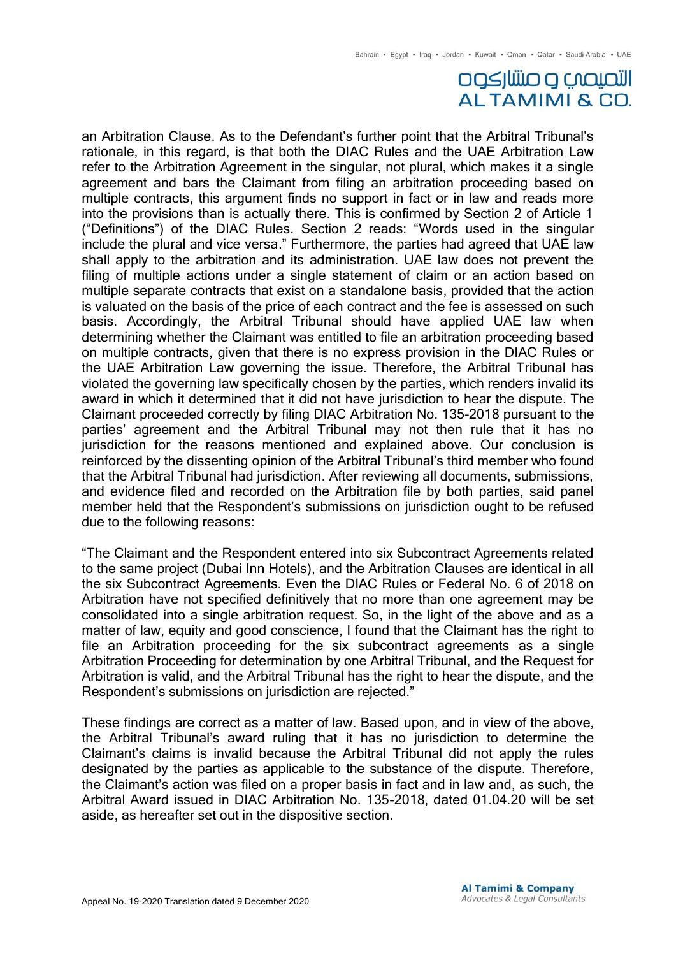# التصيصب و صنتاركوه **ALTAMIMI & CO.**

an Arbitration Clause. As to the Defendant's further point that the Arbitral Tribunal's rationale, in this regard, is that both the DIAC Rules and the UAE Arbitration Law refer to the Arbitration Agreement in the singular, not plural, which makes it a single agreement and bars the Claimant from filing an arbitration proceeding based on multiple contracts, this argument finds no support in fact or in law and reads more into the provisions than is actually there. This is confirmed by Section 2 of Article 1 ("Definitions") of the DIAC Rules. Section 2 reads: "Words used in the singular include the plural and vice versa." Furthermore, the parties had agreed that UAE law shall apply to the arbitration and its administration. UAE law does not prevent the filing of multiple actions under a single statement of claim or an action based on multiple separate contracts that exist on a standalone basis, provided that the action is valuated on the basis of the price of each contract and the fee is assessed on such basis. Accordingly, the Arbitral Tribunal should have applied UAE law when determining whether the Claimant was entitled to file an arbitration proceeding based on multiple contracts, given that there is no express provision in the DIAC Rules or the UAE Arbitration Law governing the issue. Therefore, the Arbitral Tribunal has violated the governing law specifically chosen by the parties, which renders invalid its award in which it determined that it did not have jurisdiction to hear the dispute. The Claimant proceeded correctly by filing DIAC Arbitration No. 135-2018 pursuant to the parties' agreement and the Arbitral Tribunal may not then rule that it has no jurisdiction for the reasons mentioned and explained above. Our conclusion is reinforced by the dissenting opinion of the Arbitral Tribunal's third member who found that the Arbitral Tribunal had jurisdiction. After reviewing all documents, submissions, and evidence filed and recorded on the Arbitration file by both parties, said panel member held that the Respondent's submissions on jurisdiction ought to be refused due to the following reasons:

"The Claimant and the Respondent entered into six Subcontract Agreements related to the same project (Dubai Inn Hotels), and the Arbitration Clauses are identical in all the six Subcontract Agreements. Even the DIAC Rules or Federal No. 6 of 2018 on Arbitration have not specified definitively that no more than one agreement may be consolidated into a single arbitration request. So, in the light of the above and as a matter of law, equity and good conscience, I found that the Claimant has the right to file an Arbitration proceeding for the six subcontract agreements as a single Arbitration Proceeding for determination by one Arbitral Tribunal, and the Request for Arbitration is valid, and the Arbitral Tribunal has the right to hear the dispute, and the Respondent's submissions on jurisdiction are rejected."

These findings are correct as a matter of law. Based upon, and in view of the above, the Arbitral Tribunal's award ruling that it has no jurisdiction to determine the Claimant's claims is invalid because the Arbitral Tribunal did not apply the rules designated by the parties as applicable to the substance of the dispute. Therefore, the Claimant's action was filed on a proper basis in fact and in law and, as such, the Arbitral Award issued in DIAC Arbitration No. 135-2018, dated 01.04.20 will be set aside, as hereafter set out in the dispositive section.